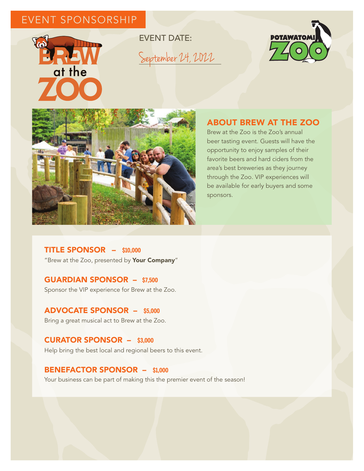# EVENT SPONSORSHIP



EVENT DATE: September 24, 2022





## ABOUT BREW AT THE ZOO

Brew at the Zoo is the Zoo's annual beer tasting event. Guests will have the opportunity to enjoy samples of their favorite beers and hard ciders from the area's best breweries as they journey through the Zoo. VIP experiences will be available for early buyers and some sponsors.

TITLE SPONSOR – **\$10,000** "Brew at the Zoo, presented by Your Company"

### GUARDIAN SPONSOR – **\$7,500**

Sponsor the VIP experience for Brew at the Zoo.

ADVOCATE SPONSOR – **\$5,000**  Bring a great musical act to Brew at the Zoo.

#### CURATOR SPONSOR – **\$3,000**

Help bring the best local and regional beers to this event.

#### BENEFACTOR SPONSOR – **\$1,000**

Your business can be part of making this the premier event of the season!